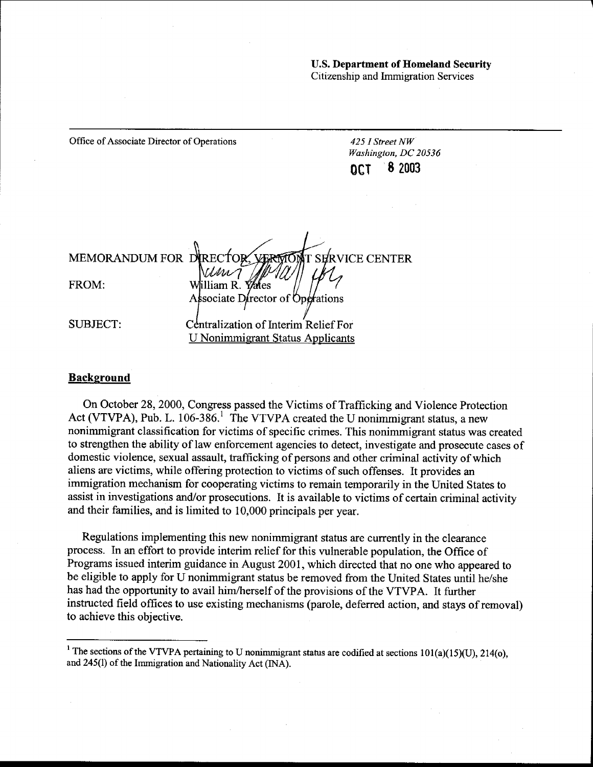u.s. Department of Homeland Security Citizenship and Immigration Services

| Office of Associate Director of Operations |                                                               |                            | 425 I Street NW<br>Washington, DC 20536 |  |
|--------------------------------------------|---------------------------------------------------------------|----------------------------|-----------------------------------------|--|
|                                            |                                                               | OCT                        | 82003                                   |  |
|                                            |                                                               |                            |                                         |  |
|                                            |                                                               |                            |                                         |  |
|                                            | MEMORANDUM FOR DIRECTOR<br>VERM                               | <b>TOMT SERVICE CENTER</b> |                                         |  |
|                                            | <i>Vivu</i>                                                   |                            |                                         |  |
| FROM:                                      | William R. <i>Val</i> les<br>Associate Director of Operations |                            |                                         |  |
| <b>SUBJECT:</b>                            | Centralization of Interim Relief For                          |                            |                                         |  |
|                                            | U Nonimmigrant Status Applicants                              |                            |                                         |  |

#### **Background**

On October 28,2000, Congress passed the Victims of Trafficking and Violence Protection Act (VTVPA), Pub. L.  $106-386$ <sup>1</sup>. The VTVPA created the U nonimmigrant status, a new nonimmigrant classification for victims of specific crimes. This nonimmigrant status was created to strengthen the ability of law enforcement agencies to detect, investigate and prosecute cases of domestic violence, sexual assault, trafficking of persons and other criminal activity of which aliens are victims, while offering protection to victims of such offenses. It provides an immigration mechanism for cooperating victims to remain temporarily in the United States to assist in investigations and/or prosecutions. It is available to victims of certain criminal activity and their families, and is limited to 10,000 principals per year.

Regulations implementing this new nonimmigrant status are currently in the clearance process. In an effort to provide interim relief for this vulnerable population, the Office of Programs issued interim guidance in August 2001, which directed that no one who appeared to be eligible to apply for U nonimmigrant status be removed from the United States until he/she has had the opportunity to avail him/herself of the provisions of the VTVPA. It further instructed field offices to use existing mechanisms (parole, deferred action, and stays of removal) to achieve this objective.

<sup>&</sup>lt;sup>1</sup> The sections of the VTVPA pertaining to U nonimmigrant status are codified at sections  $101(a)(15)(U)$ ,  $214(o)$ , and 245(1) of the Immigration and Nationality Act (INA).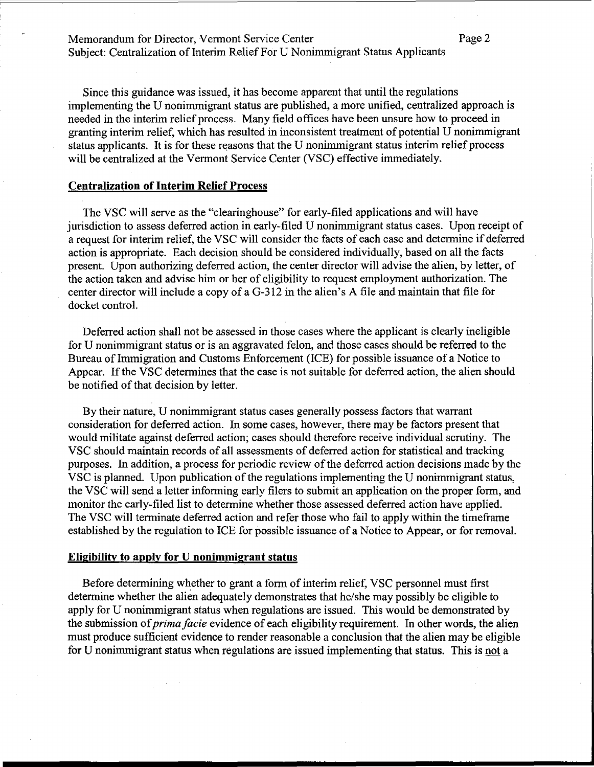# Memorandum for Director, Vermont Service Center Page 2 Subject: Centralization of Interim Relief For U Nonimmigrant Status Applicants

Since this guidance was issued, it has become apparent that until the regulations implementing the U nonimmigrant status are published, a more unified, centralized approach is needed in the interim relief process. Many field offices have been unsure how to proceed in granting interim relief, which has resulted in inconsistent treatment of potential U nonimmigrant status applicants. It is for these reasons that the U nonimmigrant status interim relief process will be centralized at the Vermont Service Center (VSC) effective immediately.

#### **Centralization of Interim Relief Process**

The VSC will serve as the "clearinghouse" for early-filed applications and will have jurisdiction to assess deferred action in early-filed U nonimmigrant status cases. Upon receipt of a request for interim relief, the VSC will consider the facts of each case and determine if deferred action is appropriate. Each decision should be considered individually, based on all the facts present. Upon authorizing deferred action, the center director will advise the alien, by letter, of the action taken and advise him or her of eligibility to request employment authorization. The center director will include a copy of a G-312 in the alien's A file and maintain that file for docket control.

Deferred action shall not be assessed in those cases where the applicant is clearly ineligible for U nonimmigrant status or is an aggravated felon, and those cases should be referred to the Bureau of Immigration and Customs Enforcement (ICE) for possible issuance of a Notice to Appear. If the VSC determines that the case is not suitable for deferred action, the alien should be notified of that decision by letter.

By their nature, U nonimmigrant status cases generally possess factors that warrant consideration for deferred action. In some cases, however, there may be factors present that would militate against deferred action; cases should therefore receive individual scrutiny. The VSC should maintain records of all assessments of deferred action for statistical and tracking purposes. In addition, a process for periodic review of the deferred action decisions made by the VSC is planned. Upon publication of the regulations implementing the U nonimmigrant status, the VSC will send a letter informing early filers to submit an application on the proper form, and monitor the early-filed list to determine whether those assessed deferred action have applied. The VSC will terminate deferred action and refer those who fail to apply within the timeframe established by the regulation to ICE for possible issuance of a Notice to Appear, or for removal.

#### **Eligibility to apply for U nonimmigrant status**

Before determining whether to grant a form of interim relief, VSC personnel must first determine whether the alien adequately demonstrates that he/she may possibly be eligible to apply for U nonimmigrant status when regulations are issued. This would be demonstrated by the submission of *prima facie* evidence of each eligibility requirement. In other words, the alien must produce sufficient evidence to render reasonable a conclusion that the alien may be eligible for U nonimmigrant status when regulations are issued implementing that status. This is not a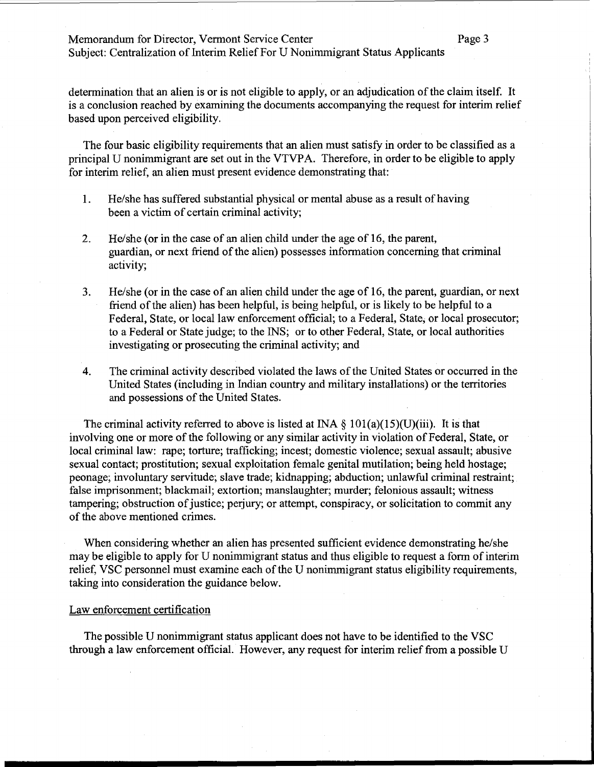# Memorandum for Director, Vermont Service Center Page 3

Subject: Centralization of Interim Relief For U Nonimmigrant Status Applicants

determination that an alien is or is not eligible to apply, or an adjudication of the claim itself. It is a conclusion reached by examining the documents accompanying the request for interim relief based upon perceived eligibility.

The four basic eligibility requirements that an alien must satisfy in order to be classified as a principal U nonimmigrant are set out in the VTVPA. Therefore, in order to be eligible to apply for interim relief, an alien must present evidence demonstrating that:

- 1. He/she has suffered substantial physical or mental abuse as a result of having been a victim of certain criminal activity;
- 2. He/she (or in the case of an alien child under the age of 16, the parent, guardian, or next friend of the alien) possesses information concerning that criminal activity;
- 3. He/she (or in the case of an alien child under the age of 16, the parent, guardian, or next friend of the alien) has been helpful, is being helpful, or is likely to be helpful to a Federal, State, or local law enforcement official; to a Federal, State; or local prosecutor; to a Federal or State judge; to the INS; or to other Federal, State, or local authorities investigating or prosecuting the criminal activity; and
- 4. The criminal activity described violated the laws of the United States or occurred in the United States (including in Indian country and military installations) or the territories and possessions of the United States.

The criminal activity referred to above is listed at INA  $\S$  101(a)(15)(U)(iii). It is that involving one or more of the following or any similar activity in violation of Federal, State, or local criminal law: rape; torture; trafficking; incest; domestic violence; sexual assault; abusive sexual contact; prostitution; sexual exploitation female genital mutilation; being held hostage; peonage; involuntary servitude; slave trade; kidnapping; abduction; unlawful criminal restraint; false imprisonment; blackmail; extortion; manslaughter; murder; felonious assault; witness tampering; obstruction of justice; perjury; or attempt, conspiracy, or solicitation to commit any of the above mentioned crimes.

When considering whether an alien has presented sufficient evidence demonstrating he/she may be eligible to apply for U nonimmigrant status and thus eligible to request a form of interim relief, VSC personnel must examine each of the U nonimmigrant status eligibility requirements, taking into consideration the guidance below.

#### Law enforcement certification

The possible U nonimmigrant status applicant does not have to be identified to the VSC through a law enforcement official. However, any request for interim relief from a possible U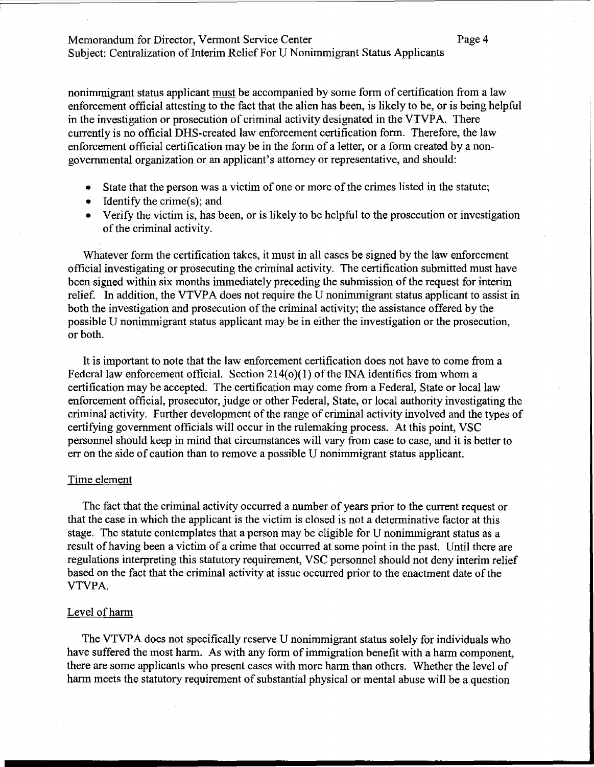# Memorandum for Director, Vermont Service Center Page 4 Subject: Centralization of Interim Relief For U Nonimmigrant Status Applicants

nonimmigrant status applicant must be accompanied by some form of certification from a law enforcement official attesting to the fact that the alien has been, is likely to be, or is being helpful in the investigation or prosecution of criminal activity designated in the VTVPA. There currently is no official DHS-created law enforcement certification form. Therefore, the law enforcement official certification may be in the form of a letter, or a form created by a nongovernmental organization or an applicant's attorney or representative, and should:

- State that the person was a victim of one or more of the crimes listed in the statute;
- Identify the crime(s); and
- Verify the victim is, has been, or is likely to be helpful to the prosecution or investigation of the criminal activity.

Whatever form the certification takes, it must in all cases be signed by the law enforcement official investigating or prosecuting the criminal activity. The certification submitted must have been signed within six months immediately preceding the submission of the request for interim relief. In addition, the VTVPA does not require the U nonimmigrant status applicant to assist in both the investigation and prosecution of the criminal activity; the assistance offered by the possible U nonimmigrant status applicant may be in either the investigation or the prosecution, or both.

It is important to note that the law enforcement certification does not have to come from a Federal law enforcement official. Section 214(0)(1) of the INA identifies from whom a certification may be accepted. The certification may come from a Federal, State or local law enforcement official, prosecutor, judge or other Federal, State, or local authority investigating the criminal activity. Further development of the range of criminal activity involved and the types of certifying government officials will occur in the rulemaking process. At this point, VSC personnel should keep in mind that circumstances will vary from case to case, and it is better to err on the side of caution than to remove a possible U nonimmigrant status applicant.

#### Time element

The fact that the criminal activity occurred a number of years prior to the current request or that the case in which the applicant is the victim is closed is not a determinative factor at this stage. The statute contemplates that a person may be eligible for U nonimmigrant status as a result of having been a victim of a crime that occurred at some point in the past. Until there are regulations interpreting this statutory requirement, VSC personnel should not deny interim relief based on the fact that the criminal activity at issue occurred prior to the enactment date of the VTVPA.

#### Level of harm

The VTVPA does not specifically reserve U nonimmigrant status solely for individuals who have suffered the most harm. As with any form of immigration benefit with a harm component, there are some applicants who present cases with more harm than others. Whether the level of harm meets the statutory requirement of substantial physical or mental abuse will be a question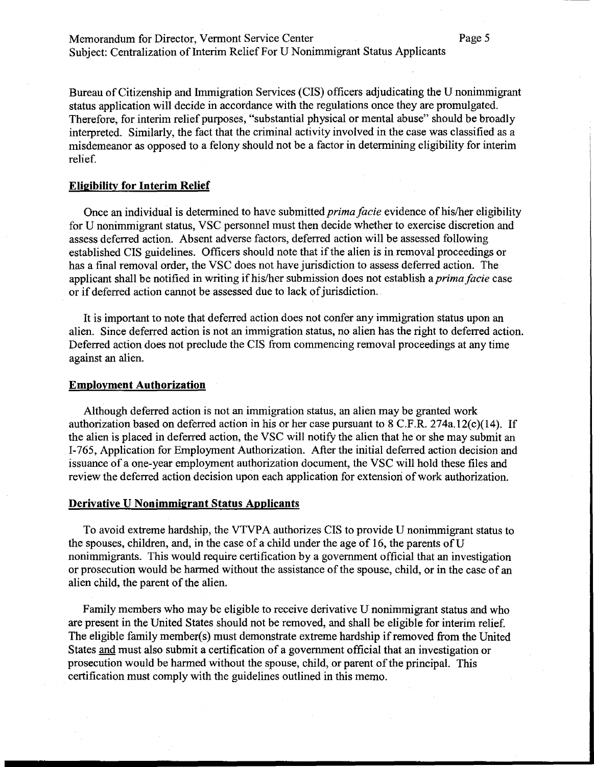Memorandum for Director, Vermont Service Center Page 5 Subject: Centralization of Interim Relief For U Nonimmigrant Status Applicants

Bureau of Citizenship and Immigration Services (CIS) officers adjudicating the U nonimmigrant status application will decide in accordance with the regulations once they are promulgated. Therefore, for interim relief purposes, "substantial physical or mental abuse" should be broadly interpreted. Similarly, the fact that the criminal activity involved in the case was classified as a misdemeanor as opposed to a felony should not be a factor in determining eligibility for interim relief.

#### **Eligibility for Interim Relief**

Once an individual is determined to have submitted *prima facie* evidence of his/her eligibility for U nonimmigrant status, VSC personnel must then decide whether to exercise discretion and assess deferred action. Absent adverse factors, deferred action will be assessed following established CIS guidelines. Officers should note that if the alien is in removal proceedings or has a final removal order, the VSC does not have jurisdiction to assess deferred action. The applicant shall be notified in writing if his/her submission does not establish a *prima facie* case or if deferred action cannot be assessed due to lack of jurisdiction.

It is important to note that deferred action does not confer any immigration status upon an alien. Since deferred action is not an immigration status, no alien has the right to deferred action. Deferred action does not preclude the CIS from commencing removal proceedings at any time against an alien.

#### **Employment Authorization**

Although deferred action is not an immigration status, an alien may be granted work authorization based on deferred action in his or her case pursuant to 8 C.F.R. 274a.12(c)(14). If the alien is placed in deferred action, the VSC will notify the alien that he or she may submit an 1-765, Application for Employment Authorization. After the initial deferred action decision and issuance of a one-year employment authorization document, the VSC will hold these files and review the deferred action decision upon each application for extension of work authorization.

## **Derivative U Nonimmigrant Status Applicants**

To avoid extreme hardship, the VTVPA authorizes CIS to provide U nonimmigrant status to the spouses, children, and, in the case of a child under the age of 16, the parents of  $U$ nonimmigrants. This would require certification by a government official that an investigation or prosecution would be harmed without the assistance of the spouse, child, or in the case of an alien child, the parent of the alien.

Family members who may be eligible to receive derivative U nonimmigrant status and who are present in the United States should not be removed, and shall be eligible for interim relief. The eligible family member(s) must demonstrate extreme hardship if removed from the United States and must also submit a certification of a government official that an investigation or prosecution would be harmed without the spouse, child, or parent of the principal. This certification must comply with the guidelines outlined in this memo.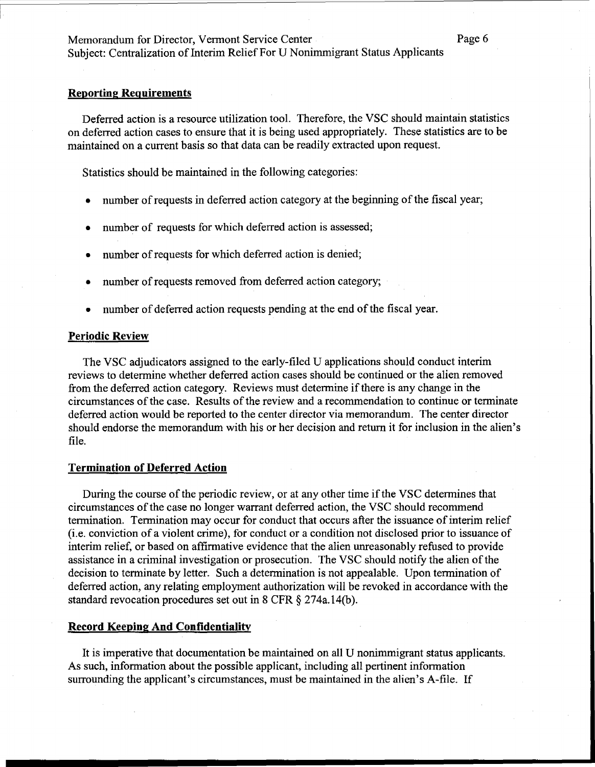# Subject: Centralization of Interim Relief For U Nonimmigrant Status Applicants

## **Reporting Requirements**

Deferred action is a resource utilization tool. Therefore, the VSC should maintain statistics on deferred action cases to ensure that it is being used appropriately. These statistics are to be maintained on a current basis so that data can be readily extracted upon request.

Statistics should be maintained in the following categories:

- number of requests in deferred action category at the beginning of the fiscal year;
- number of requests for which deferred action is assessed;
- number of requests for which deferred action is denied;
- number of requests removed from deferred action category;
- number of deferred action requests pending at the end of the fiscal year.

## **Periodic Review**

The VSC adjudicators assigned to the early-filed U applications should conduct interim reviews to determine whether deferred action cases should be continued or the alien removed from the deferred action category. Reviews must determine if there is any change in the circumstances of the case. Results of the review and a recommendation to continue or terminate deferred action would be reported to the center director via memorandum. The center director should endorse the memorandum with his or her decision and return it for inclusion in the alien's file.

# **Termination of Deferred Action**

During the course of the periodic review, or at any other time if the VSC determines that circumstances of the case no longer warrant deferred action, the VSC should recommend termination. Termination may occur for conduct that occurs after the issuance of interim relief (i.e. conviction of a violent crime), for conduct or a condition not disclosed prior to issuance of interim relief, or based on affirmative evidence that the alien unreasonably refused to provide assistance in a criminal investigation or prosecution. The VSC should notify the alien of the decision to terminate by letter. Such a determination is not appealable. Upon termination of deferred action, any relating employment authorization will be revoked in accordance with the standard revocation procedures set out in 8 CFR  $\S$  274a.14(b).

# **Record Keeping And Confidentiality**

It is imperative that documentation be maintained on all U nonimmigrant status applicants. As such, information about the possible applicant, including all pertinent information surrounding the applicant's circumstances, must be maintained in the alien's A-file. If